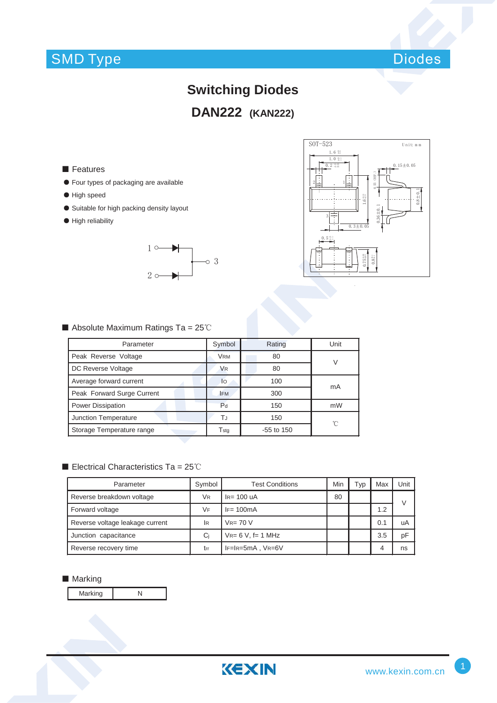## SMD Type



# **Switching Diodes DAN222 (KAN222)**

### ■ Features

- ƽ Four types of packaging are available
- ƽ High speed
- Suitable for high packing density layout
- $\bullet$  High reliability





### Absolute Maximum Ratings Ta =  $25^{\circ}$ C

| Parameter                  | Symbol               | Rating       | Unit |  |
|----------------------------|----------------------|--------------|------|--|
| Peak Reverse Voltage       | <b>VRM</b>           | 80           | V    |  |
| DC Reverse Voltage         | <b>V<sub>R</sub></b> | 80           |      |  |
| Average forward current    | lo                   | 100          | mA   |  |
| Peak Forward Surge Current | <b>FM</b>            | 300          |      |  |
| <b>Power Dissipation</b>   | P <sub>d</sub>       | 150          | mW   |  |
| Junction Temperature       | ТJ                   | 150          | °C   |  |
| Storage Temperature range  | Tstg                 | $-55$ to 150 |      |  |

#### Electrical Characteristics Ta =  $25^{\circ}$ C

| Parameter                       | Symbol    | <b>Test Conditions</b>      | Min | Typ | Max | Unit |
|---------------------------------|-----------|-----------------------------|-----|-----|-----|------|
| Reverse breakdown voltage       | VR        | $I_R = 100$ uA              | 80  |     |     | V    |
| Forward voltage                 | VF        | $IF = 100mA$                |     |     | 1.2 |      |
| Reverse voltage leakage current | <b>IR</b> | $V_{R=70}$ V                |     |     | 0.1 | uA   |
| Junction capacitance            | Ci        | $V_{R=6}$ V, f= 1 MHz       |     |     | 3.5 | pF   |
| Reverse recovery time           | trr       | $IF = IR = 5mA$ , $VR = 6V$ |     |     | 4   | ns   |

### ■ Marking

Marking N